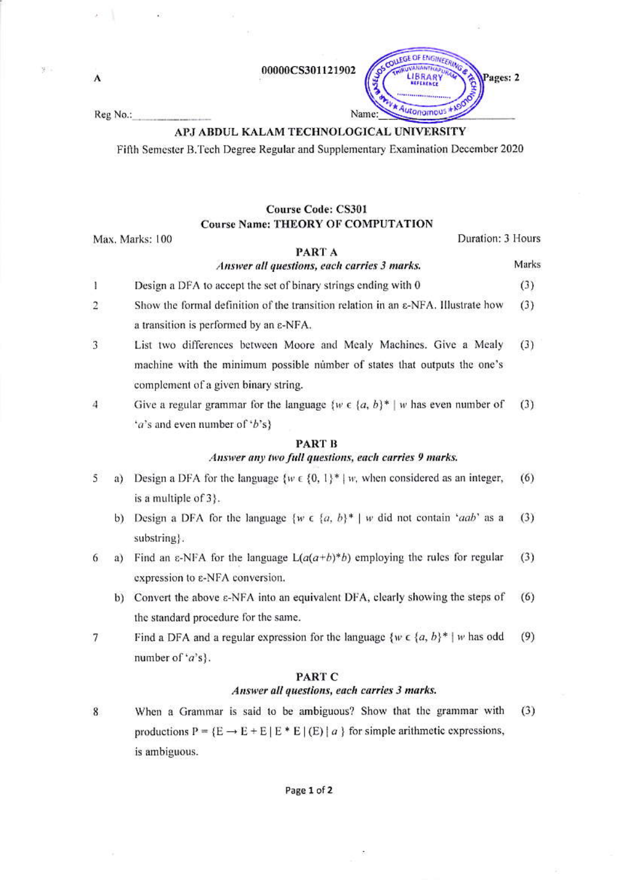00000CS301121902

Reg No.:

A

## APJ ABDUL KALAM TECHNOLOGICAL UNIVERSITY

Fifth Semester B.Tech Degree Regular and Supplementary Examination December 2020

# **Course Code: CS301 Course Name: THEORY OF COMPUTATION**

Max. Marks: 100

Duration: 3 Hours

Marks

Pages: 2

#### PART A Answer all questions, each carries 3 marks.

Name

OUEGE OF ENGINEERA

Autonomous

- $\mathbf{I}$ Design a DFA to accept the set of binary strings ending with 0  $(3)$
- $\overline{2}$ Show the formal definition of the transition relation in an  $\epsilon$ -NFA. Illustrate how  $(3)$ a transition is performed by an  $\varepsilon$ -NFA.
- 3 List two differences between Moore and Mealy Machines. Give a Mealy  $(3)$ machine with the minimum possible number of states that outputs the one's complement of a given binary string.
- $\overline{4}$ Give a regular grammar for the language  $\{w \in \{a, b\}^* \mid w \}$  has even number of  $(3)$ 'a's and even number of 'b's}

# **PART B** Answer any two full questions, each carries 9 marks.

- 5 Design a DFA for the language  $\{w \in \{0, 1\}^* \mid w$ , when considered as an integer,  $(6)$ a) is a multiple of 3).
	- b) Design a DFA for the language  $\{w \in \{a, b\}^* \mid w \}$  did not contain 'aab' as a  $(3)$ substring.
- a) Find an  $\varepsilon$ -NFA for the language  $L(a(a+b)^*b)$  employing the rules for regular  $(3)$ 6 expression to  $\varepsilon$ -NFA conversion.
	- b) Convert the above  $\varepsilon$ -NFA into an equivalent DFA, clearly showing the steps of  $(6)$ the standard procedure for the same.
- Find a DFA and a regular expression for the language  $\{w \in \{a, b\}^* \mid w \text{ has odd}\}$  $(9)$ 7 number of 'a's}.

### PART C

#### Answer all questions, each carries 3 marks.

When a Grammar is said to be ambiguous? Show that the grammar with  $(3)$ 8 productions  $P = {E \rightarrow E + E |E * E | (E) | a}$  for simple arithmetic expressions, is ambiguous.

#### Page 1 of 2